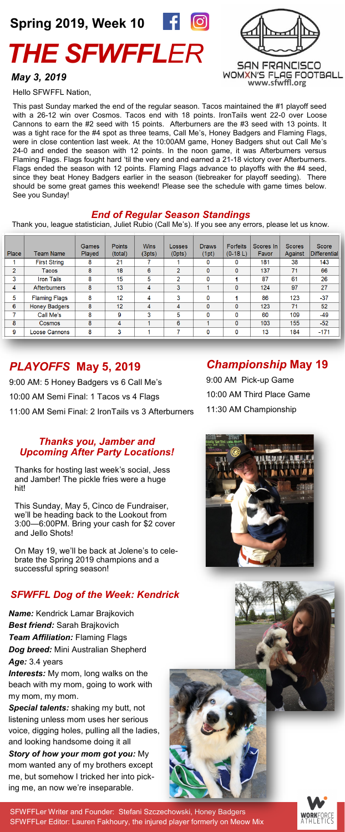# *THE SFWFFLER* **Spring 2019, Week 10**



**SAN FRANCISCO WOMXN'S FLAG FOOTBALL [www.sfwffl.org](https://www.sfwffl.org/)**

#### *May 3, 2019*

Hello SFWFFL Nation,

This past Sunday marked the end of the regular season. Tacos maintained the #1 playoff seed with a 26-12 win over Cosmos. Tacos end with 18 points. IronTails went 22-0 over Loose Cannons to earn the #2 seed with 15 points. Afterburners are the #3 seed with 13 points. It was a tight race for the #4 spot as three teams, Call Me's, Honey Badgers and Flaming Flags, were in close contention last week. At the 10:00AM game, Honey Badgers shut out Call Me's 24-0 and ended the season with 12 points. In the noon game, it was Afterburners versus Flaming Flags. Flags fought hard 'til the very end and earned a 21-18 victory over Afterburners. Flags ended the season with 12 points. Flaming Flags advance to playoffs with the #4 seed, since they beat Honey Badgers earlier in the season (tiebreaker for playoff seeding). There should be some great games this weekend! Please see the schedule with game times below. See you Sunday!

#### *End of Regular Season Standings*

Thank you, league statistician, Juliet Rubio (Call Me's). If you see any errors, please let us know.

| Place | <b>Team Name</b>     | <b>Games</b><br>Played | <b>Points</b><br>(total) | <b>Wins</b><br>(3pts) | Losses<br>(0pts) | <b>Draws</b><br>(1pt) | <b>Forfeits</b><br>$(0-18 L)$ | Scores In<br>Favor | <b>Scores</b><br>Against | <b>Score</b><br><b>Differential</b> |
|-------|----------------------|------------------------|--------------------------|-----------------------|------------------|-----------------------|-------------------------------|--------------------|--------------------------|-------------------------------------|
|       | <b>First String</b>  | 8                      | 21                       |                       |                  | 0                     | 0                             | 181                | 38                       | 143                                 |
| 2     | Tacos                | 8                      | 18                       | 6                     | 2                | 0                     | 0                             | 137                | 71                       | 66                                  |
| 3     | <b>Iron Tails</b>    | 8                      | 15                       | 5                     | $\overline{2}$   | 0                     |                               | 87                 | 61                       | 26                                  |
| 4     | <b>Afterburners</b>  | 8                      | 13                       | 4                     | 3                |                       | 0                             | 124                | 97                       | 27                                  |
| 5     | <b>Flaming Flags</b> | 8                      | 12                       | 4                     | 3                | 0                     |                               | 86                 | 123                      | $-37$                               |
| 6     | <b>Honey Badgers</b> | 8                      | 12                       | 4                     | 4                | 0                     | 0                             | 123                | 71                       | 52                                  |
| 7     | Call Me's            | 8                      | 9                        | 3                     | 5                | 0                     | 0                             | 60                 | 109                      | $-49$                               |
| 8     | <b>Cosmos</b>        | 8                      | 4                        |                       | 6                |                       | 0                             | 103                | 155                      | $-52$                               |
| 9     | <b>Loose Cannons</b> | 8                      | 3                        |                       | 7                | 0                     | 0                             | 13                 | 184                      | $-171$                              |
|       |                      |                        |                          |                       |                  |                       |                               |                    |                          |                                     |

#### *PLAYOFFS* **May 5, 2019**

9:00 AM: 5 Honey Badgers vs 6 Call Me's 10:00 AM Semi Final: 1 Tacos vs 4 Flags 11:00 AM Semi Final: 2 IronTails vs 3 Afterburners

#### *Thanks you, Jamber and Upcoming After Party Locations!*

Thanks for hosting last week's social, Jess and Jamber! The pickle fries were a huge hit!

This Sunday, May 5, Cinco de Fundraiser, we'll be heading back to the Lookout from 3:00—6:00PM. Bring your cash for \$2 cover and Jello Shots!

On May 19, we'll be back at Jolene's to celebrate the Spring 2019 champions and a successful spring season!

#### *SFWFFL Dog of the Week: Kendrick*

*Name:* Kendrick Lamar Brajkovich *Best friend:* Sarah Brajkovich *Team Affiliation:* Flaming Flags *Dog breed:* Mini Australian Shepherd Age: 3.4 years

**Interests:** My mom, long walks on the beach with my mom, going to work with my mom, my mom.

*Special talents:* shaking my butt, not listening unless mom uses her serious voice, digging holes, pulling all the ladies, and looking handsome doing it all

*Story of how your mom got you:* My mom wanted any of my brothers except me, but somehow I tricked her into picking me, an now we're inseparable.

SFWFFLer Writer and Founder: Stefani Szczechowski, Honey Badgers SFWFFLer Editor: Lauren Fakhoury, the injured player formerly on Meow Mix

## *Championship* **May 19**

9:00 AM Pick-up Game 10:00 AM Third Place Game 11:30 AM Championship